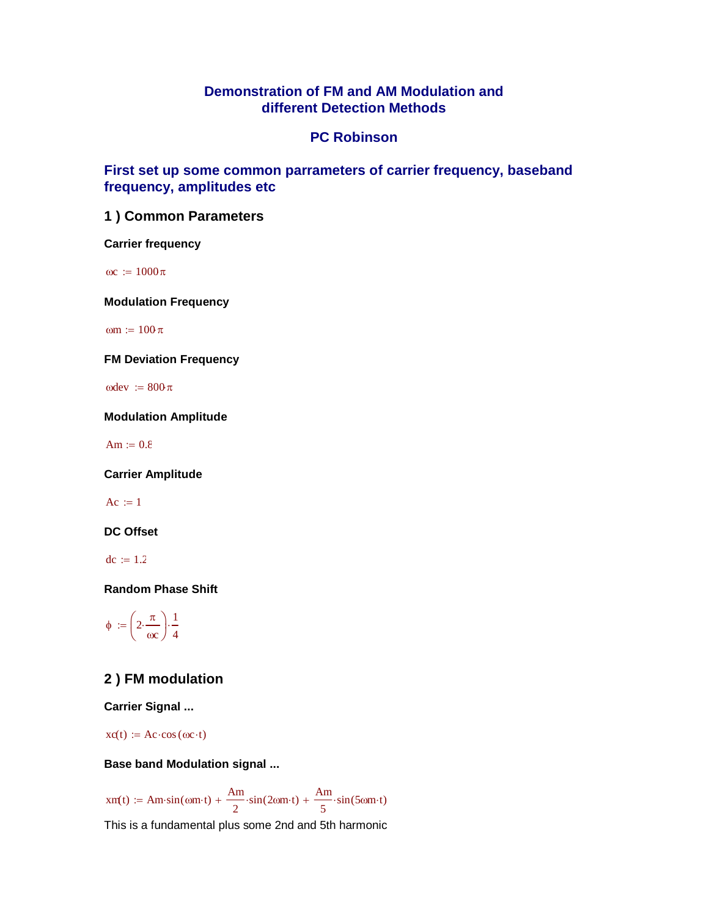## **Demonstration of FM and AM Modulation and different Detection Methods**

### **PC Robinson**

### **First set up some common parrameters of carrier frequency, baseband frequency, amplitudes etc**

### **1 ) Common Parameters**

**Carrier frequency**

 $\omega := 1000\pi$ 

**Modulation Frequency**

om  $:= 100 \pi$ 

**FM Deviation Frequency**

 $\omega = 800 \pi$ 

**Modulation Amplitude**

 $Am := 0.8$ 

**Carrier Amplitude**

 $Ac := 1$ 

**DC Offset**

 $dc := 1.2$ 

**Random Phase Shift**

 $\phi := 2 \cdot \frac{\pi}{2}$  $\omega$ c  $\Big(2\cdot$  $\begin{array}{c} \hline \end{array}$ 1 4  $:= | 2 \cdots |$ 

## **2 ) FM modulation**

**Carrier Signal ...**

 $xc(t) := Ac \cdot cos(\omega c \cdot t)$ 

**Base band Modulation signal ...**

 $xm(t) := Am\cdot sin(\omega m\cdot t) + \frac{Am}{\sqrt{2}}$ 2  $+\frac{Am}{2} \cdot \sin(2\omega m \cdot t) + \frac{Am}{2}$ 5  $\sin(\omega m \cdot t) + \frac{\sin(\omega m \cdot t)}{2} \cdot \sin(2\omega m \cdot t) + \frac{\sin(\omega m \cdot t)}{2} \cdot \sin(5\omega m \cdot t)$ 

This is a fundamental plus some 2nd and 5th harmonic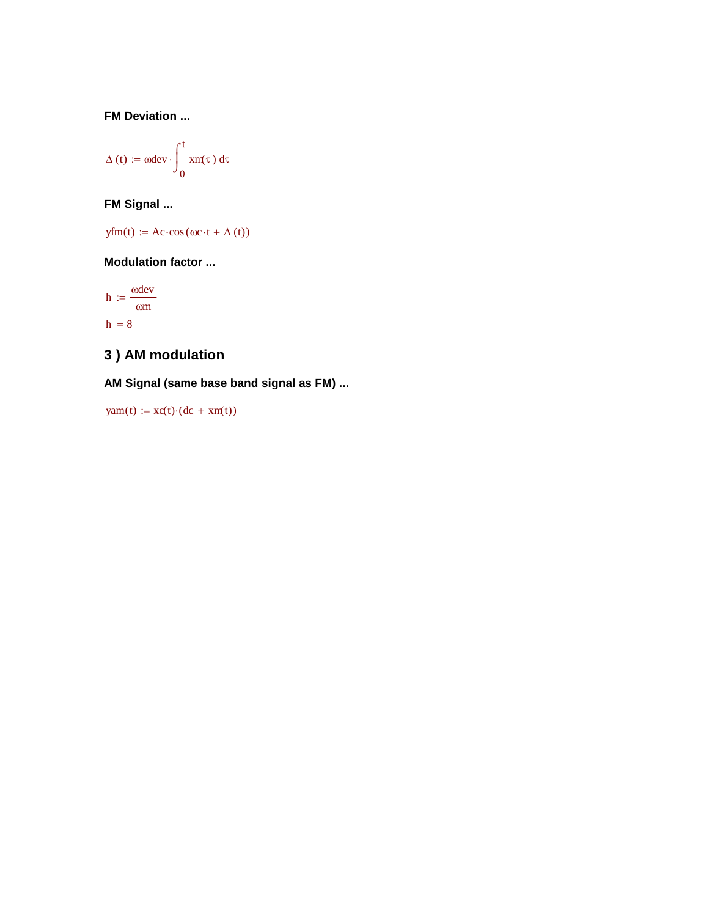**FM Deviation ...**

$$
\Delta\left(t\right)\coloneqq\omega dev\cdot\int_{0}^{t}x\text{m}(\tau)\ d\tau
$$

**FM Signal ...**

 $yfm(t) := Ac \cdot cos(\omega c \cdot t + \Delta(t))$ 

### **Modulation factor ...**

 $h := \frac{\omega dev}{\omega}$ m  $:=$  $h = 8$ 

# **3 ) AM modulation**

**AM Signal (same base band signal as FM) ...**

 $\text{yam}(t) := \text{xc}(t) \cdot (dc + \text{xm}(t))$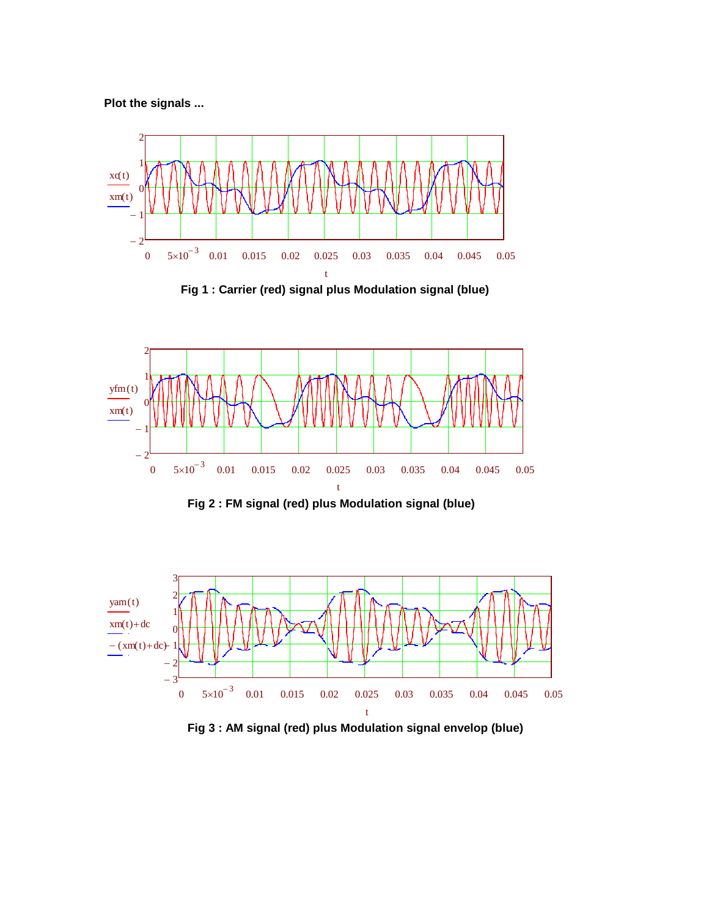**Plot the signals ...**



 **Fig 1 : Carrier (red) signal plus Modulation signal (blue)**



**Fig 2 : FM signal (red) plus Modulation signal (blue)**



**Fig 3 : AM signal (red) plus Modulation signal envelop (blue)**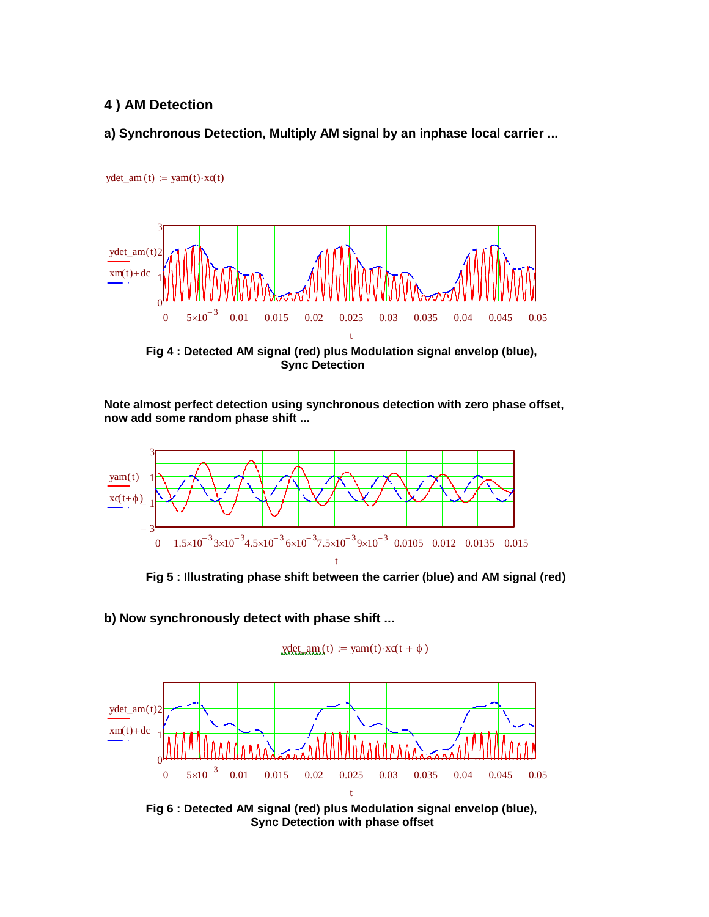### **4 ) AM Detection**

 $ydet\_am(t) := yam(t) \cdot xc(t)$ 

### **a) Synchronous Detection, Multiply AM signal by an inphase local carrier ...**



**Fig 4 : Detected AM signal (red) plus Modulation signal envelop (blue), Sync Detection**

**Note almost perfect detection using synchronous detection with zero phase offset, now add some random phase shift ...**



**Fig 5 : Illustrating phase shift between the carrier (blue) and AM signal (red)**

**b) Now synchronously detect with phase shift ...**





**Fig 6 : Detected AM signal (red) plus Modulation signal envelop (blue), Sync Detection with phase offset**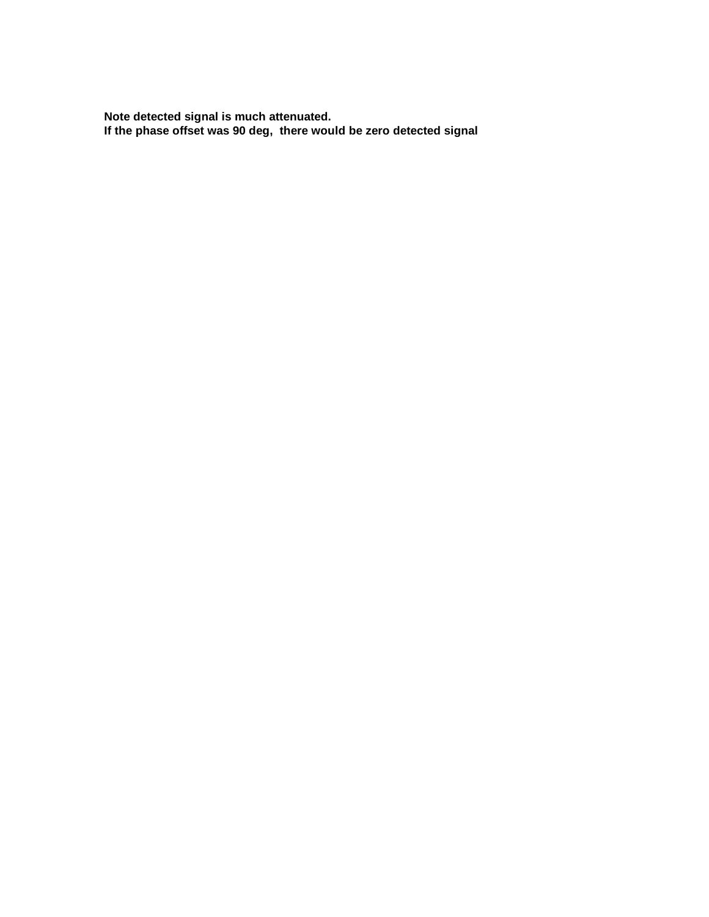**Note detected signal is much attenuated. If the phase offset was 90 deg, there would be zero detected signal**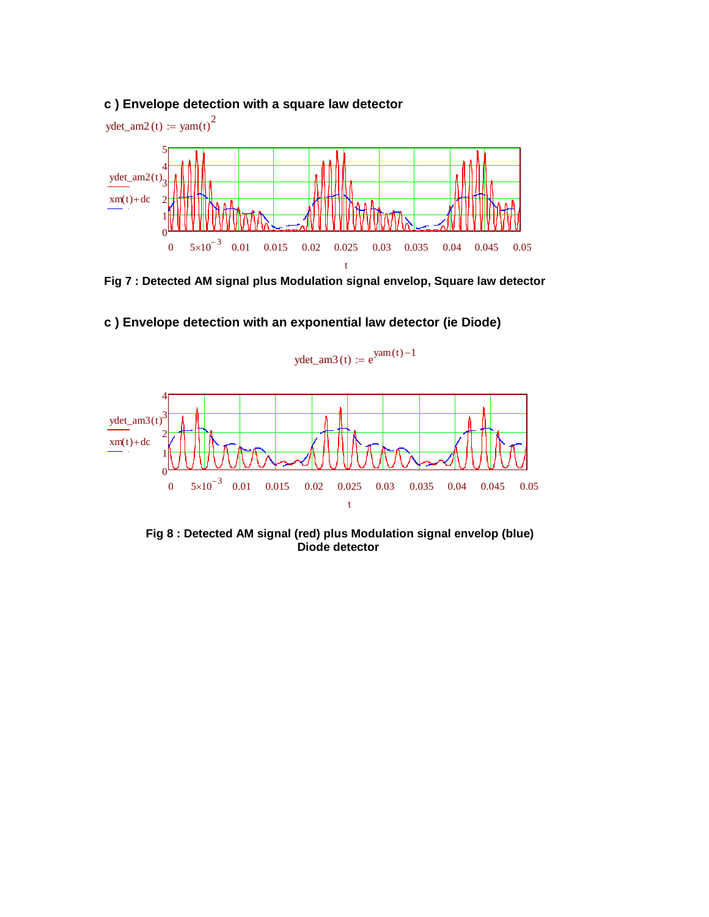## **c ) Envelope detection with a square law detector**



**Fig 7 : Detected AM signal plus Modulation signal envelop, Square law detector**



## **c ) Envelope detection with an exponential law detector (ie Diode)**

**Fig 8 : Detected AM signal (red) plus Modulation signal envelop (blue) Diode detector**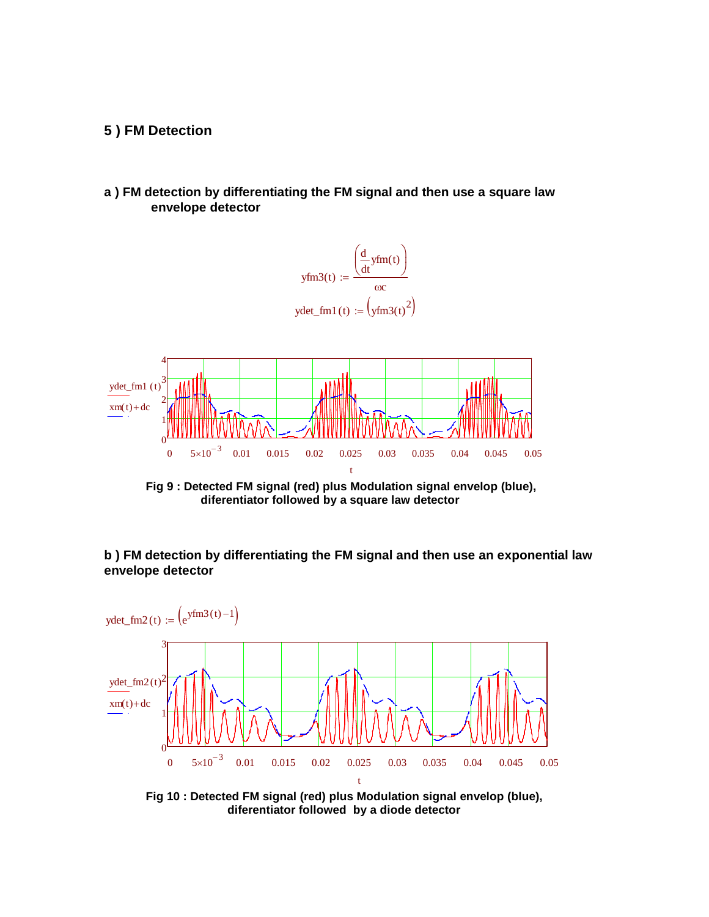#### **5 ) FM Detection**

**a ) FM detection by differentiating the FM signal and then use a square law envelope detector**



**Fig 9 : Detected FM signal (red) plus Modulation signal envelop (blue), diferentiator followed by a square law detector**

**b ) FM detection by differentiating the FM signal and then use an exponential law envelope detector**



**Fig 10 : Detected FM signal (red) plus Modulation signal envelop (blue), diferentiator followed by a diode detector**